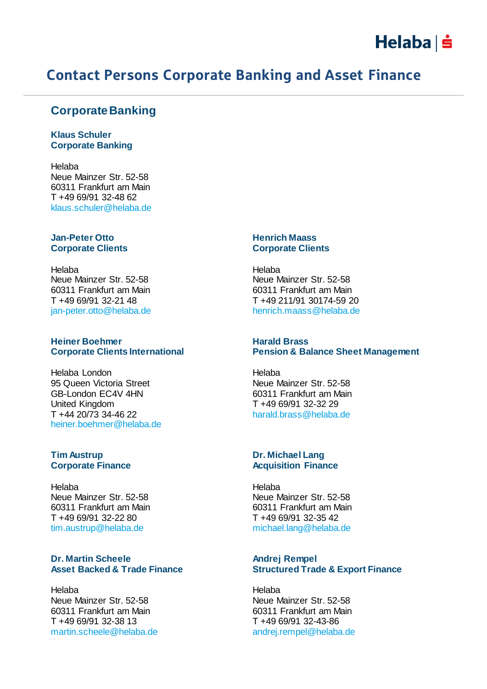

# Contact Persons Corporate Banking and Asset Finance

## **Corporate Banking**

**Klaus Schuler Corporate Banking**

Helaba Neue Mainzer Str. 52-58 60311 Frankfurt am Main T +49 69/91 32-48 62 klaus.schuler@helaba.de

#### **Jan-Peter Otto Corporate Clients**

Helaba Neue Mainzer Str. 52-58 60311 Frankfurt am Main T +49 69/91 32-21 48 jan-peter.otto@helaba.de

#### **Heiner Boehmer Corporate Clients International**

Helaba London 95 Queen Victoria Street GB-London EC4V 4HN United Kingdom T +44 20/73 34-46 22 heiner.boehmer@helaba.de

### **Tim Austrup Corporate Finance**

Helaba Neue Mainzer Str. 52-58 60311 Frankfurt am Main T +49 69/91 32-22 80 tim.austrup@helaba.de

### **Dr. Martin Scheele Asset Backed & Trade Finance**

Helaba Neue Mainzer Str. 52-58 60311 Frankfurt am Main T +49 69/91 32-38 13 martin.scheele@helaba.de

### **Henrich Maass Corporate Clients**

Helaba Neue Mainzer Str. 52-58 60311 Frankfurt am Main T +49 211/91 30174-59 20 henrich.maass@helaba.de

#### **Harald Brass Pension & Balance Sheet Management**

Helaba Neue Mainzer Str. 52-58 60311 Frankfurt am Main T +49 69/91 32-32 29 harald.brass@helaba.de

#### **Dr. Michael Lang Acquisition Finance**

Helaba Neue Mainzer Str. 52-58 60311 Frankfurt am Main T +49 69/91 32-35 42 michael.lang@helaba.de

### **Andrej Rempel Structured Trade & Export Finance**

Helaba Neue Mainzer Str. 52-58 60311 Frankfurt am Main T +49 69/91 32-43-86 andrej.rempel@helaba.de